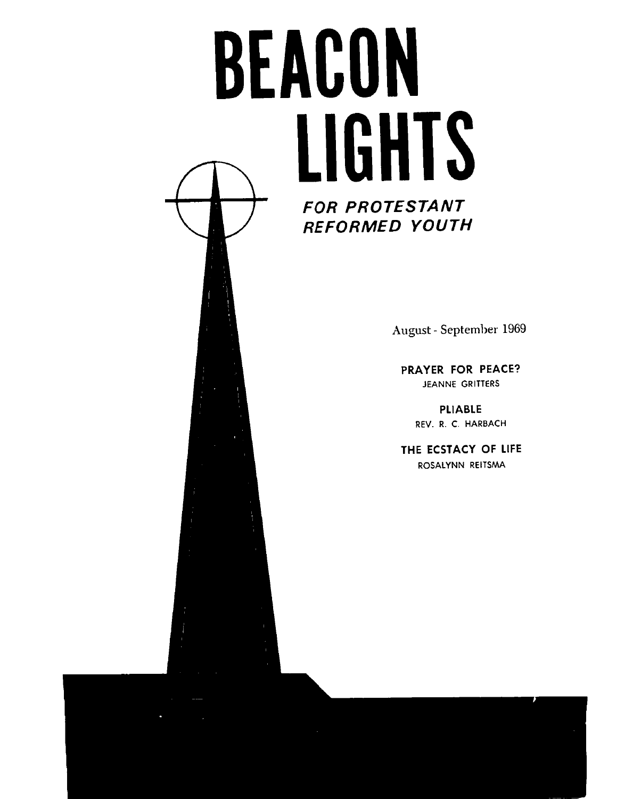# **BEACON LIGHTS**

**August** - September 1969

**PRAYER FOR PEACE? JEANNE GRITTERS** 

> **PLIABLE REV. R. C. HARBACH**

**THE ECSTACY OF LIFE ROSALYNN REITSMA**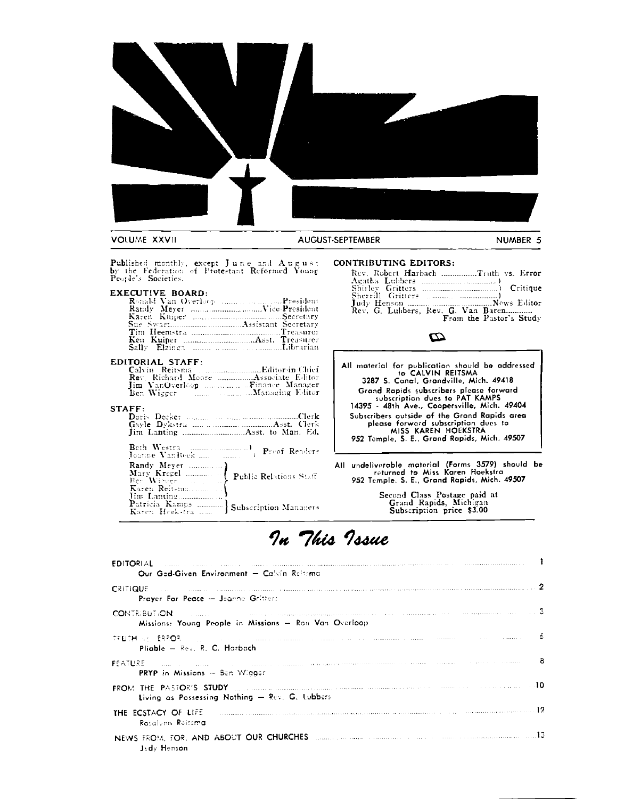

Published monthly, except June and August<br>by the Federation of Protestant Reformed Young<br>People's Societies.

# **EXECUTIVE BOARD:**

| Ronald Van Overloop President |
|-------------------------------|
|                               |
|                               |
|                               |
|                               |
|                               |
|                               |

## EDITORIAL STAFF:

| Ben Wiecer Manner | <b>Managing Editor</b> |
|-------------------|------------------------|

### STAFF:

### **CONTRIBUTING EDITORS:**

| Rev. Robert Harbach Truth vs. Error   |  |  |
|---------------------------------------|--|--|
|                                       |  |  |
| Sherrill Gritters (manage management) |  |  |
|                                       |  |  |
| Rev. G. Lubbers, Rev. G. Van Baren    |  |  |
| From the Pastor's Study               |  |  |

# Ø

| All material for publication should be addressed<br>to CALVIN REITSMA                                                                                      |
|------------------------------------------------------------------------------------------------------------------------------------------------------------|
| 3287 S. Canal, Grandville, Mich. 49418                                                                                                                     |
| Grand Rapids subscribers please forward<br>subscription dues to PAT KAMPS<br>14395 - 48th Ave., Coopersville, Mich. 49404                                  |
| Subscribers outside of the Grand Rapids area<br>please forward subscription dues to<br>MISS KAREN HOEKSTRA<br>952 Temple, S. E., Grand Rapids, Mich. 49507 |

All undeliverable material (Forms 3579) should be<br>returned to Miss Karen Hoekstra<br>952 Temple, S. E., Grand Rapids, Mich. 49507

Second Class Postage paid at<br>Grand Rapids, Michigan<br>Subscription price \$3.00

# In This Issue

| <b>EDITORIAL</b> And a series and a series and annual and annual and annual and a series and annual and a<br>Our God-Given Environment - Calvin Reltoma |  |
|---------------------------------------------------------------------------------------------------------------------------------------------------------|--|
| <b>CRITIQUE</b> 2 <b>2</b><br><b>Praver For Peace - Jeanne Gritters</b>                                                                                 |  |
| CONTRIBUTION <b>CONTRIBUTION CONTRIBUTION CONTRIBUTION</b><br>Missions: Young People in Missions - Ron Van Overloop                                     |  |
| TRUTH VEL ERROR (Collection of Communication and Collection of Communication and Communication of Communication<br>Pliable - Rev. R. C. Harbach         |  |
| FEATURE The company of the company of the company company company company company of the company of 8<br><b>PRYP</b> in Missions $-$ Ben Wigger         |  |
| Living as Possessing Nothing - Rev. G. Lubbers                                                                                                          |  |
| THE ECSTACY OF LIFE <b>CONTAINER CONTAINER CONTAINER CONTAINER CONTAINER CONTAINER CONTAINING</b><br>Rosalvnn Reitsm <b>a</b>                           |  |
| NEWS FROM, FOR, AND ABOUT OUR CHURCHES (COLLECTION CONTINUES TO AND A CONTINUES CONTROL OF 13<br>Jedy Henson                                            |  |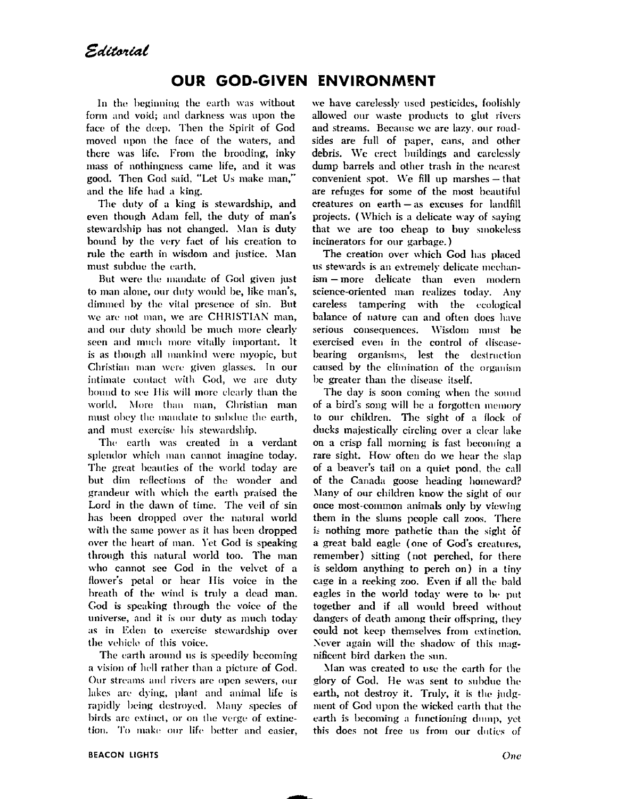# **OUR GOD-GIVEN ENVIRONMENT**

In the beginning the earth was without form and void; and darkness was upon the face of the deep. Then the Spirit of God moved upon the face of the waters, and there was life. From the brooding, inky mass of nothingness came life, and it was good. Then God said, "Let Us make man," and the life had a king.

The duty of a king is stewardship, and even though Adam fell, the duty of man's stewardship has not changed. Man is duty bound by the very fact of his creation to rule the earth in wisdom and justice. Man must subdue the earth.

But were the mandate of God given just to man alone, our duty would be, like man's, dimmed by the vital presence of sin. But we are not man, we are CHRISTIAN man, and our duty should be much more clearly seen and much more vitally important. It is as though all mankind were myopic, but Christian man were given glasses. In our intimate contact with God, we are duty bound to see His will more clearly than the world, More than man, Christian man must obey the mandate to subdue the earth, and must exercise his stewardship.

The earth was created in a verdant splendor which man cannot imagine today. The great beauties of the world today are but dim reflections of the wonder and grandeur with which the earth praised the Lord in the dawn of time. The veil of sin has been dropped over the natural world with the same power as it has been dropped over the heart of man. Yet God is speaking through this natural world too. The man who cannot see God in the velvet of a flower's petal or hear His voice in the breath of the wind is truly a dead man. God is speaking through the voice of the universe, and it is our duty as much today as in Eden to exercise stewardship over the vehicle of this voice.

The earth around us is speedily becoming a vision of hell rather than a picture of God. Our streams and rivers are open sewers, our lakes are dying, plant and animal life is rapidly being destroyed. Many species of birds are extinct, or on the verge of extinetion. To make our life better and easier,

we have carelessly used pesticides, foolishly allowed our waste products to glut rivers and streams. Because we are lazy, our roadsides are full of paper, cans, and other debris. We erect buildings and carelessly dump barrels and other trash in the nearest convenient spot. We fill up marshes - that are refuges for some of the most beautiful creatures on earth - as excuses for landfill projects. (Which is a delicate way of saying that we are too cheap to buy smokeless incinerators for our garbage.)

The creation over which God has placed us stewards is an extremely delicate mechanism – more delicate than even modern science-oriented man realizes today. Any careless tampering with the ecological balance of nature can and often does have serious consequences. Wisdom must be exercised even in the control of diseasebearing organisms, lest the destruction caused by the elimination of the organism be greater than the disease itself.

The day is soon coming when the sound of a bird's song will be a forgotten memory to our children. The sight of a flock of ducks majestically circling over a clear lake on a crisp fall morning is fast becoming a rare sight. How often do we hear the slap of a beaver's tail on a quiet pond, the call of the Canada goose heading homeward? Many of our children know the sight of our once most-common animals only by viewing them in the slums people call zoos. There is nothing more pathetic than the sight of a great bald eagle (one of God's creatures. remember) sitting (not perched, for there is seldom anything to perch on) in a tiny cage in a reeking zoo. Even if all the bald eagles in the world today were to be put together and if all would breed without dangers of death among their offspring, they could not keep themselves from extinction. Never again will the shadow of this magnificent bird darken the sun.

Man was created to use the earth for the glory of God. He was sent to subdue the earth, not destroy it. Truly, it is the judgment of God upon the wicked earth that the earth is becoming a functioning dump, yet this does not free us from our duties of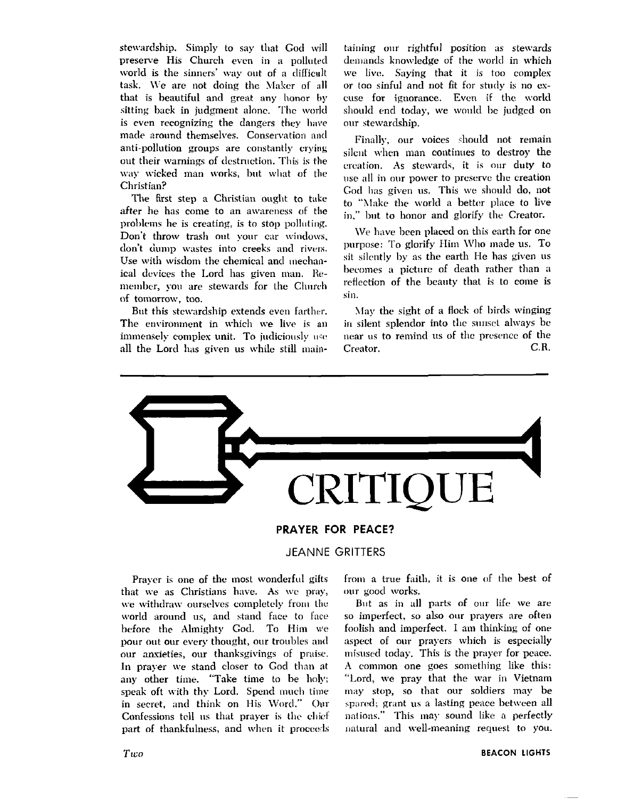stewardship. Simply to say that God will preserve His Church even in a polluted world is the sinners' way out of a difficult task. We are not doing the Maker of all that is beautiful and great any honor by sitting back in judgment alone. The world is even recognizing the dangers they have made around themselves. Conservation and anti-pollution groups are constantly crying out their warnings of destruction. This is the way wicked man works, but what of the Christian?

The first step a Christian ought to take after he has come to an awareness of the problems he is creating, is to stop polluting. Don't throw trash out your car windows, don't dump wastes into creeks and rivers. Use with wisdom the chemical and mechanical devices the Lord has given man. Remember, you are stewards for the Church of tomorrow, too.

But this stewardship extends even farther. The environment in which we live is an immensely complex unit. To judiciously use all the Lord has given us while still main-

taining our rightful position as stewards demands knowledge of the world in which we live. Saving that it is too complex or too sinful and not fit for study is no excuse for ignorance. Even if the world should end today, we would be judged on our stewardship.

Finally, our voices should not remain silent when man continues to destroy the creation. As stewards, it is our duty to use all in our power to preserve the creation God has given us. This we should do, not to "Make the world a better place to live in." but to honor and glorify the Creator.

We have been placed on this earth for one purpose: To glorify Him Who made us. To sit silently by as the earth He has given us becomes a picture of death rather than a reflection of the beauty that is to come is sin.

May the sight of a flock of birds winging in silent splendor into the sunset always be near us to remind us of the presence of the  $C.R.$ Creator.



# **PRAYER FOR PEACE?**

# **JEANNE GRITTERS**

Praver is one of the most wonderful gifts that we as Christians have. As we pray, we withdraw ourselves completely from the world around us, and stand face to face before the Almighty God. To Him we pour out our every thought, our troubles and our anxieties, our thanksgivings of praise. In prayer we stand closer to God than at any other time. "Take time to be holy; speak oft with thy Lord. Spend much time in secret, and think on His Word." Our Confessions tell us that prayer is the chief part of thankfulness, and when it proceeds

from a true faith, it is one of the best of our good works.

But as in all parts of our life we are so imperfect, so also our prayers are often foolish and imperfect. I am thinking of one aspect of our prayers which is especially misused today. This is the prayer for peace. A common one goes something like this: "Lord, we pray that the war in Vietnam may stop, so that our soldiers may be spared; grant us a lasting peace between all nations." This may sound like a perfectly natural and well-meaning request to you.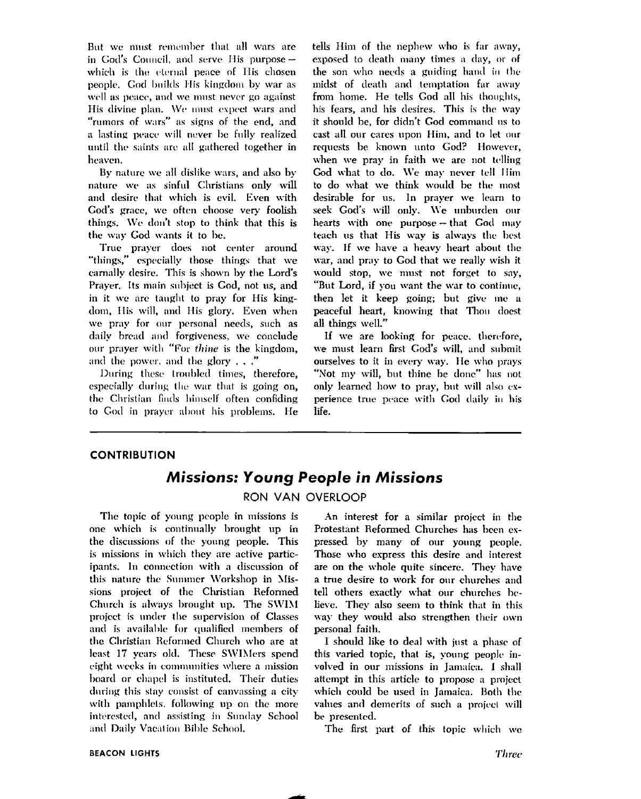But we must remember that all wars are in God's Council, and serve His purpose which is the eternal peace of His chosen neonle. God builds His kingdom by war as well as peace, and we must never go against His divine plan. We must expect wars and "rumors of wars" as signs of the end, and a lasting peace will never be fully realized until the saints are all gathered together in heaven.

By nature we all dislike wars, and also by nature we as sinful Christians only will and desire that which is evil. Even with God's grace, we often choose very foolish things. We don't stop to think that this is the way God wants it to be.

True praver does not center around "things," especially those things that we carnally desire. This is shown by the Lord's Prayer. Its main subject is God, not us, and in it we are taught to pray for His kingdom, His will, and His glory. Even when we pray for our personal needs, such as daily bread and forgiveness, we conclude our prayer with "For thine is the kingdom, and the power, and the glory  $\ldots$ ."

During these troubled times, therefore, especially during the war that is going on. the Christian finds himself often confiding to God in prayer about his problems. He tells Him of the nephew who is far away, exposed to death many times a day, or of the son who needs a guiding hand in the midst of death and temptation far away from home. He tells God all his thoughts, his fears, and his desires. This is the way it should be, for didn't God command us to cast all our cares upon Him, and to let our requests be known unto God? However, when we pray in faith we are not telling God what to do. We may never tell Him to do what we think would be the most desirable for us. In prayer we learn to seek God's will only. We unburden our hearts with one purpose - that God may teach us that His way is always the best way. If we have a heavy heart about the war, and pray to God that we really wish it would stop, we must not forget to say, "But Lord, if you want the war to continue. then let it keep going; but give me a peaceful heart, knowing that Thou doest all things well."

If we are looking for peace, therefore, we must learn first God's will, and submit ourselves to it in every way. He who prays "Not my will, but thine be done" has not only learned how to pray, but will also experience true peace with God daily in his life.

## **CONTRIBUTION**

# **Missions: Young People in Missions**

# RON VAN OVERLOOP

The topic of young people in missions is one which is continually brought up in the discussions of the young people. This is missions in which they are active participants. In connection with a discussion of this nature the Summer Workshop in Missions project of the Christian Reformed Church is always brought up. The SWIM project is under the supervision of Classes and is available for qualified members of the Christian Reformed Church who are at least 17 years old. These SWIMers spend eight weeks in communities where a mission board or chapel is instituted. Their duties during this stay consist of canvassing a city with pamphlets, following up on the more interested, and assisting in Sunday School and Daily Vacation Bible School,

An interest for a similar project in the Protestant Reformed Churches has been expressed by many of our young people. Those who express this desire and interest are on the whole quite sincere. They have a true desire to work for our churches and tell others exactly what our churches believe. They also seem to think that in this way they would also strengthen their own personal faith.

I should like to deal with just a phase of this varied topic, that is, young people involved in our missions in Jamaica. I shall attempt in this article to propose a project which could be used in Jamaica. Both the values and demerits of such a project will be presented.

The first part of this topic which we

# **BEACON LIGHTS**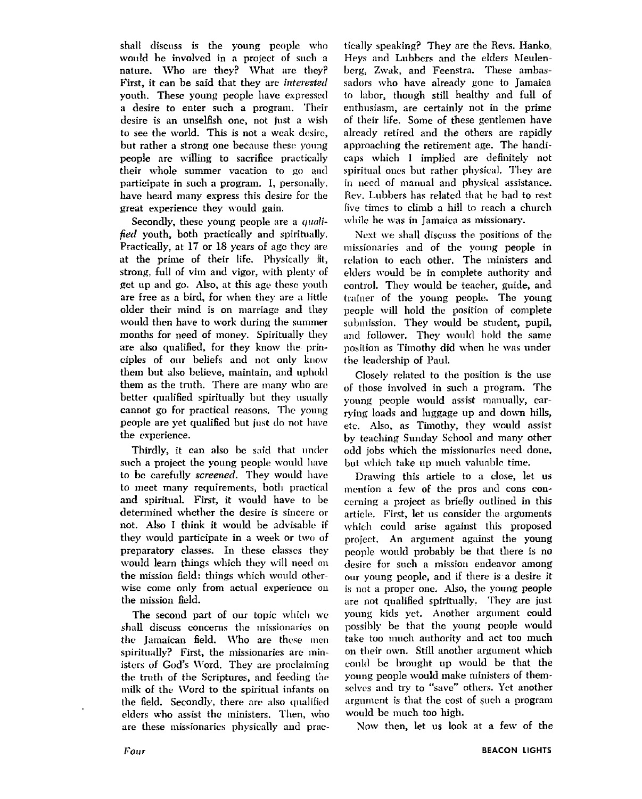shall discuss is the young people who would be involved in a project of such a nature. Who are they? What arc they? First, it can be said that they are *interested* youth. These young people have expressed a desire to enter such a program. Their desire is an unselfish one, not just a wish to see the world. This is not a weak desire, but rather a strong one because these young people are willing to sacrifice practically their whole summer vacation to go ancl participate in such a program. I, personally. have heard many express this desire for the great experience they would gain.

Secondly, these young people are a *quali*-*Fed* youth, both practically and spiritually. Practically, at 17 or 18 years of age they are at the prime of their life. Physically fit, strong, full of vim ancl vigor, **with** plenty of get up and go. Also, at this age these youth are free as a bird, for when they are a little older their mind is on marriage and they would then have to work during the summer months for need of money. Spiritually they are also qualified, for they know the principles of our beliefs and not only know them but also believe, maintain, and uphold them as the truth. There are many who are better qualified spiritually but they usually cannot go for practical reasons. The young people are yet qualified but just do not have the experience.

Thirdly, it can also be said that under such a project the young people would have to be carefully screened. They would have to meet many requirements, both practical and spiritual. First, it would have to be determined whether the desire is sincere or not. Also I think it would be advisable if they would participate in a week or two of preparatory classes. In these classes they would learn things which they will need on the mission field: things which would otherwise come only from actual experience on the mission field.

The second part of our topic which we shall discuss concerns the missionaries on the Jamaican field. Who are these men spiritually? First, the missionaries are ministers of God's Word. They are proclaiming the truth of the Scriptures, and feeding the milk of the Word to the spiritual infants on the field. Secondly, there are also qualified eldcrs who assist the ministers. Then, who are these missionaries physically and prac-

tically speaking? They are the Revs. Hanko. Heys and Lubbers and the elders Meulenberg, Zwak, and Feenstra. These ambassadors who have already gone to Jamaica to labor, though still healthy and full of enthusiasm, are certainly not in the prime of their life. Some of these gentlemen have already retired and the others are rapidly approaching the retirement age. The handicaps which **1** implied are definitely not spiritual oncs but rather physical. They are in need of manual and physical assistance. Rev. Lubbers has related that he had to rest **Iivc** times to climb a hill to reach a church while he was in Jamaica as missionary.

Next we shall discuss the positions of the missionaries and of the young people in relation to each other. The ministers and elders mould be in complete authority and control. They would be teacher, guide, and trainer of the young people. The young people will hold the position of complete submission. They would be student, pupil, and follower. They would hold the same position as Timothy did when he was under the leadcrsliip of Paul.

Closely related to the position is the use of those involved in such a program. The young people would assist manually, carrving loads and luggage up and down hills, etc. Also, as Timothy, they would assist by teaching Sunday School and many other odd jobs which the missionaries need done, but which take up much valuable time.

Drawing this article to a close, let us mention a few of the pros and cons concerning a project as briefly outlined in this article. First, let us consider the arguments \vhicll could arise against this proposed project. **An** argument against the young people would probably be that there is no desire for such a mission endeavor among our young people, and if there is a desire it is not a proper one. Also, the young people are not qualified spiritually. They are just young kids yet. Another argument could possibly be that the young people would take too much authority and act too much on their own. Still another argument which could be brought up would be that the young people would make ministers of themselves and try to "save" others. Yet another argument is that the cost of such a program would be much too high.

Now then, let us look at a few of the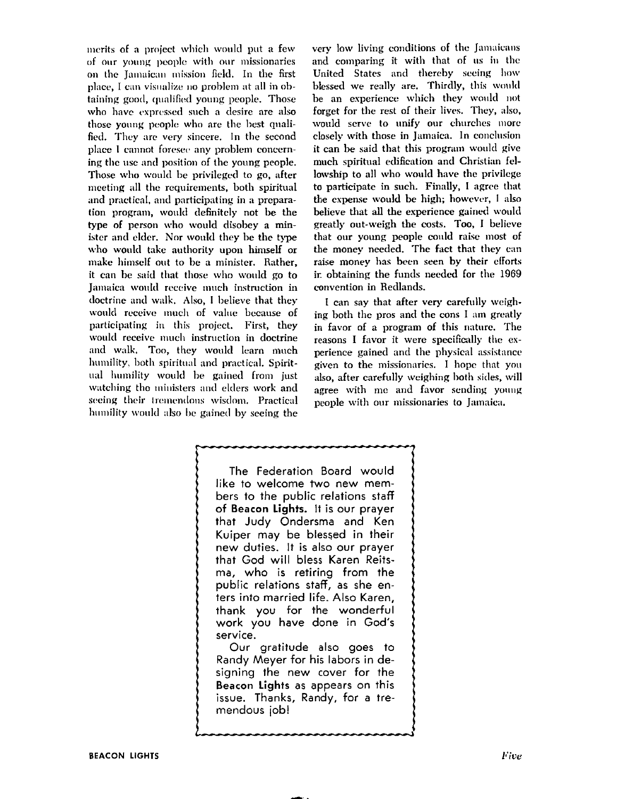merits of a project which would put a few of our young people with our missionaries on the Jamaican mission field. In the first place, I can visualize no problem at all in obtaining good, qualified young people. Those who have expressed such a desire are also those young people who are the best qualified. They are very sincere. In the second place I cannot foresee any problem concerning the use and position of the young people. Those who would be privileged to go, after meeting all the requirements, both spiritual and practical, and participating in a preparation program, would definitely not be the type of person who would disobey a minister and elder. Nor would they be the type who would take authority upon himself or make himself out to be a minister. Rather, it can be said that those who would go to Jamaica would receive much instruction in doctrine and walk. Also, I believe that they would receive much of value because of participating in this project. First, they would receive much instruction in doctrine and walk. Too, they would learn much humility, both spiritual and practical. Spiritual humility would be gained from just watching the ministers and elders work and seeing their tremendous wisdom. Practical humility would also be gained by seeing the

very low living conditions of the Jamaicans and comparing it with that of us in the United States and thereby seeing how blessed we really are. Thirdly, this would be an experience which they would not forget for the rest of their lives. They, also, would serve to unify our churches more closely with those in Jamaica. In conclusion it can be said that this program would give much spiritual edification and Christian fellowship to all who would have the privilege to participate in such. Finally, I agree that the expense would be high; however, I also believe that all the experience gained would greatly out-weigh the costs. Too, I believe that our young people could raise most of the money needed. The fact that they can raise money has been seen by their efforts ir, obtaining the funds needed for the 1969 convention in Redlands.

I can say that after very carefully weighing both the pros and the cons I am greatly in favor of a program of this nature. The reasons I favor it were specifically the experience gained and the physical assistance given to the missionaries. I hope that you also, after carefully weighing both sides, will agree with me and favor sending young people with our missionaries to Jamaica.

The Federation Board would like to welcome two new members to the public relations staff of Beacon Lights. It is our prayer that Judy Ondersma and Ken Kuiper may be blessed in their new duties. It is also our prayer that God will bless Karen Reitsma, who is retiring from the public relations staff, as she enters into married life. Also Karen, thank you for the wonderful work you have done in God's service. Our aratitude also goes to

Randy Meyer for his labors in designing the new cover for the Beacon Lights as appears on this issue. Thanks, Randy, for a tremendous job!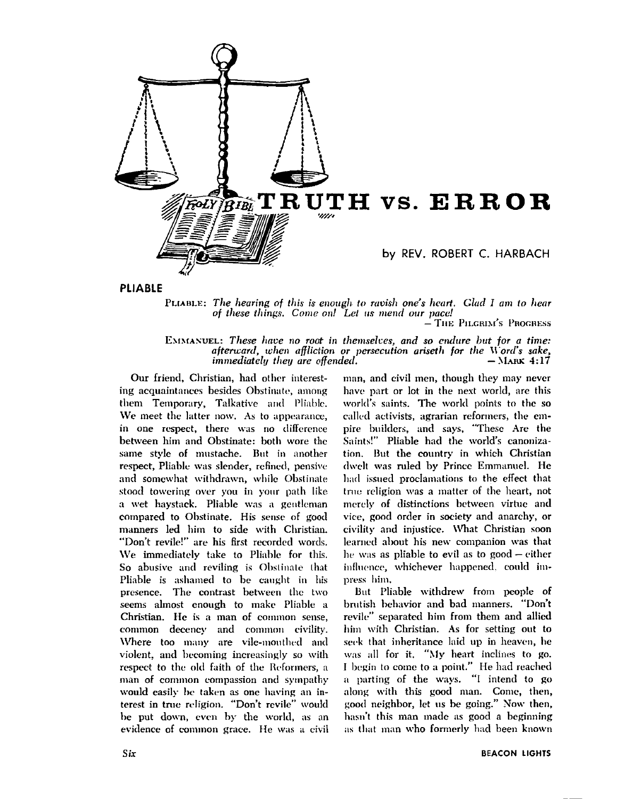

PLIABLE: The hearing of this is enough to ravish one's heart. Glad I am to hear of these things. Come on! Let us mend our pace!  $-$  THE PILGRIM'S PROGRESS

EMMANUEL: These have no root in themselves, and so endure but for a time: afterward, when affliction or persecution ariseth for the Word's sake, immediately they are offended.  $-$ MARK 4:17

Our friend, Christian, had other interesting acquaintances besides Obstinate, among them Temporary, Talkative and Pliable. We meet the latter now. As to appearance, in one respect, there was no difference between him and Obstinate: both wore the same style of mustache. But in another respect, Pliable was slender, refined, pensive and somewhat withdrawn, while Obstinate stood towering over you in your path like a wet haystack. Pliable was a gentleman compared to Obstinate. His sense of good manners led him to side with Christian. "Don't revile!" are his first recorded words. We immediately take to Pliable for this. So abusive and reviling is Obstinate that Pliable is ashamed to be caught in his presence. The contrast between the two seems almost enough to make Pliable a Christian. He is a man of common sense, common decency and common civility. Where too many are vile-mouthed and violent, and becoming increasingly so with respect to the old faith of the Reformers, a man of common compassion and sympathy would easily be taken as one having an interest in true religion. "Don't revile" would be put down, even by the world, as an evidence of common grace. He was a civil man, and civil men, though they may never have part or lot in the next world, are this world's saints. The world points to the so called activists, agrarian reformers, the empire builders, and says, "These Are the Saints!" Pliable had the world's canonization. But the country in which Christian dwelt was ruled by Prince Emmanuel. He had issued proclamations to the effect that true religion was a matter of the heart, not merely of distinctions between virtue and vice, good order in society and anarchy, or civility and injustice. What Christian soon learned about his new companion was that he was as pliable to evil as to good - either influence, whichever happened, could impress him.

But Pliable withdrew from people of brutish behavior and bad manners. "Don't revile" separated him from them and allied him with Christian. As for setting out to seek that inheritance laid up in heaven, he was all for it. "My heart inclines to go. I begin to come to a point." He had reached a parting of the ways. "I intend to go along with this good man. Come, then, good neighbor, let us be going." Now then, hasn't this man made as good a beginning as that man who formerly had been known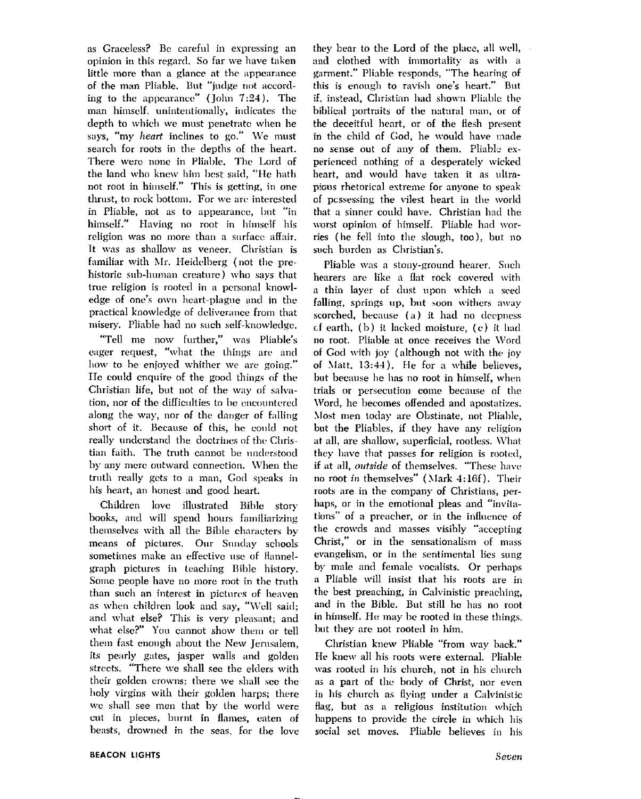as Graceless? Be careful in expressing an opinion in this regard. So far we have taken little more than a glance at the appearance of the man Pliable. But "judge not according to the appearance" (John 7:24). The man himself, unintentionally, indicates the depth to which we must penetrate when he says, "my heart inclines to go." We must search for roots in the depths of the heart. There were none in Pliable. The Lord of the land who knew him best said, "He hath not root in himself." This is getting, in one thrust, to rock bottom. For we are interested in Pliable, not as to appearance, but "in himself." Having no root in himself his religion was no more than a surface affair. It was as shallow as veneer. Christian is familiar with Mr. Heidelberg (not the prehistoric sub-human creature) who savs that true religion is rooted in a personal knowledge of one's own heart-plague and in the practical knowledge of deliverance from that misery. Pliable had no such self-knowledge.

"Tell me now further," was Pliable's eager request, "what the things are and how to be enjoyed whither we are going." He could enquire of the good things of the Christian life, but not of the way of salvation, nor of the difficulties to be encountered along the way, nor of the danger of falling short of it. Because of this, he could not really understand the doctrines of the Christian faith. The truth cannot be understood by any mere outward connection. When the truth really gets to a man, God speaks in his heart, an honest and good heart.

Children love illustrated Bible story books, and will spend hours familiarizing themselves with all the Bible characters by means of pictures. Our Sunday schools sometimes make an effective use of flannelgraph pictures in teaching Bible history. Some people have no more root in the truth than such an interest in pictures of heaven as when children look and say, "Well said; and what else? This is very pleasant; and what else?" You cannot show them or tell them fast enough about the New Jerusalem. its pearly gates, jasper walls and golden streets. "There we shall see the elders with their golden crowns; there we shall see the holy virgins with their golden harps; there we shall see men that by the world were cut in pieces, burnt in flames, eaten of beasts, drowned in the seas, for the love they bear to the Lord of the place, all well, and clothed with immortality as with a garment." Pliable responds, "The hearing of this is enough to ravish one's heart." But if, instead, Christian had shown Pliable the biblical portraits of the natural man, or of the deceitful heart, or of the flesh present in the child of God, he would have made no sense out of any of them. Pliable experienced nothing of a desperately wicked heart, and would have taken it as ultrapious rhetorical extreme for anyone to speak of possessing the vilest heart in the world that a sinner could have. Christian had the worst opinion of himself. Pliable had worries (he fell into the slough, too), but no such burden as Christian's.

Pliable was a stony-ground hearer. Such hearers are like a flat rock covered with a thin layer of dust upon which a seed falling, springs up, but soon withers away scorched, because (a) it had no deepness of earth. (b) it lacked moisture, (c) it had no root. Pliable at once receives the Word of God with joy (although not with the joy of Matt. 13:44). He for a while believes, but because he has no root in himself, when trials or persecution come because of the Word, he becomes offended and apostatizes. Most men today are Obstinate, not Pliable, but the Pliables, if they have any religion at all, are shallow, superficial, rootless. What they have that passes for religion is rooted, if at all, outside of themselves. "These have no root in themselves" (Mark 4:16f). Their roots are in the company of Christians, perhaps, or in the emotional pleas and "invitations" of a preacher, or in the influence of the crowds and masses visibly "accepting Christ," or in the sensationalism of mass evangelism, or in the sentimental lies sung by male and female vocalists. Or perhaps a Pliable will insist that his roots are in the best preaching, in Calvinistic preaching. and in the Bible. But still he has no root in himself. He may be rooted in these things, but they are not rooted in him.

Christian knew Pliable "from way back." He knew all his roots were external. Pliable was rooted in his church, not in his church as a part of the body of Christ, nor even in his church as flying under a Calvinistic flag, but as a religious institution which happens to provide the circle in which his social set moves. Pliable believes in his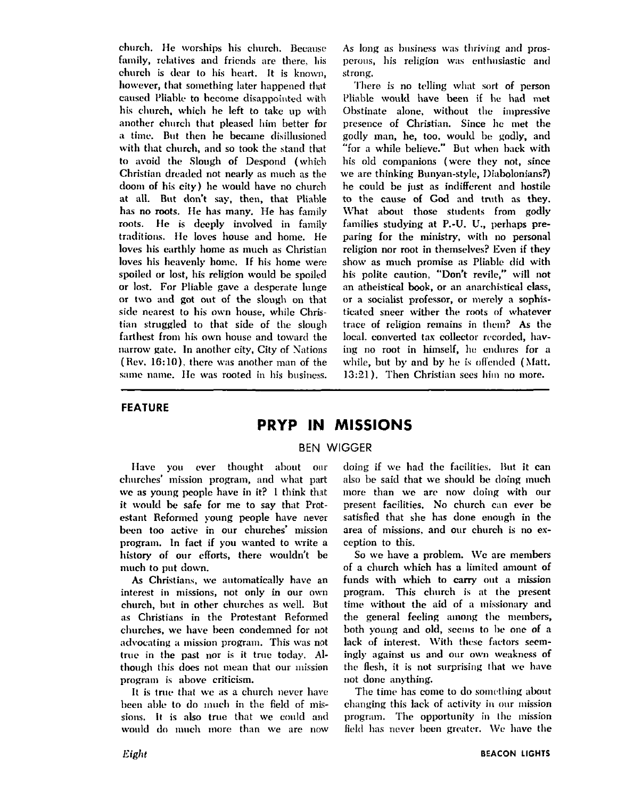church. He worships his church. Because family, relatives and friends are there, his church is dear to his heart. It is known, however, that something later happened that caused Pliable to hecome disappointed with his church, which he left to take up with another church that pleased him better for a time. But then he became disillusioned with that church, and so took the stand that to avoid the Slough of Despond (which Christian dreaded not nearly as much as the doom of his city) he would have no church at all. But don't say, then, that Pliable has no roots. He has many. He has family roots. He is deeply involved in family traditions. He loves house and home. He loves his earthly home as much as Christian loves his heavenly homc. If his home were spoiled or lost, his religion would be spoiled or lost. For Pliable gave a desperate lunge or two and got out of the slough on that side nearest to his own house, while Christian struggled to that side of the slough farthest from his own house and toward the narrow gate. In another city, City of Nations  $(Rev. 16:10)$ , there was another man of the same name. He was rooted in his business.

As long as business was thriving and prosperous, his religion was enthusiastic and strong.

There is no telling what sort of person Pliable would have been if he had **met**  Obstinate alone, without the impressive presence of Christian. Since hc met the godly man, he, too, would be godly, and "for a while believe." But when back with his old companions (were they not, since we are thinking Bunyan-style, Diabolonians?) he could be just as indifferent and hostile to the cause of God and truth as they. What about those students from godly families studying at P.-U. U., perhaps preparing for the ministry, with no personal religion nor root in themselves? Even if they show as much promise as Pliable did with his polite caution, "Don't revile," will not an atheistical book, or an anarchistical class, or a socialist professor, or merely a sophisticated sneer wither the roots of whatever trace of religion remains in them? As the local. converted tax collector recorded, having no root in himself, he endures for a while, but by and by he is offended (Matt. 13:21). Then Christian sees him no more.

# **FEATURE**

# **PRYP IN MISSIONS**

# BEN WIGGER

Have you ever thought about our churches' mission program, and what part we as young people have in it? 1 think thst it would be safe for me to say that Protestant Reformed yonng people have never becn too active in our churches' mission program. In fact if you wanted to write a history of our efforts, there wouldn't be much to put down.

As Christians, we automatically have an interest in missions, not only in our own church, but in other churches as well. But as Christians in the Protestant Reformed churches, we have been condemned for not advocating a mission program. This was not true in the past nor is it true today. Although this does not mean that our mission program is above criticism.

It is true that we as a church never have been able to do much in the field of missions. It is also true that we could and would do much more than we are now

doing if we had the facilities. But it can also be said that we should be doing much more than we are now doing with our present facilities. No church can ever be satisfied that she has done enough in the area of missions. and our church is no exception to this.

So we have a problem. We are members of a church which has a limited amount of funds with which to carry out a mission program. This church is at the present time without the aid of a missionary and the general feeling among the members, both young and old, seems to be one of a lack of interest. With these factors seemingly against us and our own weakness of the flesh, it is not surprising that we have not done anything.

The time has come to do something about changing this lack of activity in our mission program. The opportunity in the mission field has never been greater. We have the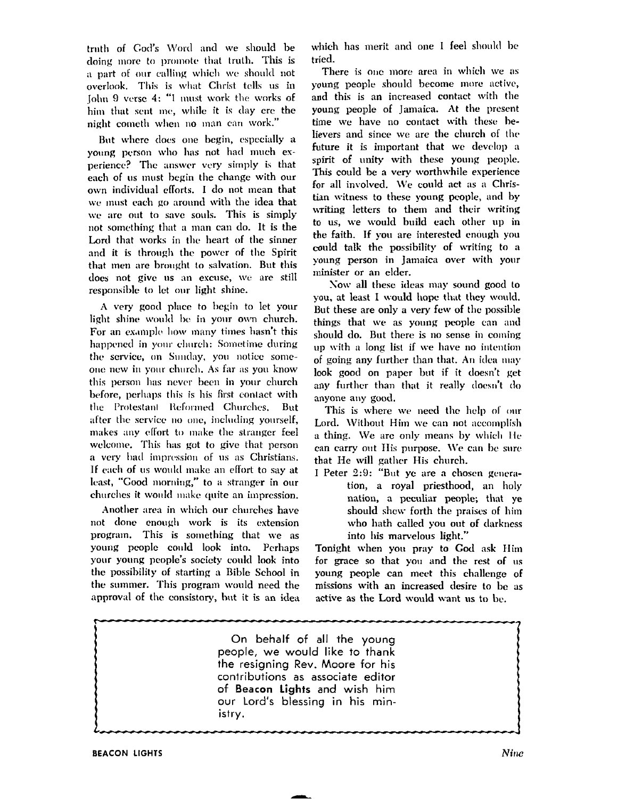truth of God's Word and we should be doing more to promote that truth. This is a part of our calling which we should not overlook. This is what Christ tells us in John 9 verse 4: "I must work the works of him that sent me, while it is day ere the night cometh when no man can work."

But where does one begin, especially a young person who has not had much experience? The answer very simply is that each of us must begin the change with our own individual efforts. I do not mean that we must each go around with the idea that we are out to save souls. This is simply not something that a man can do. It is the Lord that works in the heart of the sinner and it is through the power of the Spirit that men are brought to salvation. But this does not give us an excuse, we are still responsible to let our light shine.

A very good place to begin to let your light shine would be in your own church. For an example how many times hasn't this happened in your church: Sometime during the service, on Sunday, you notice someone new in your church. As far as you know this person has never been in your church before, perhaps this is his first contact with the Protestant Reformed Churches, But after the service no one, including yourself, makes any effort to make the stranger feel welcome. This has got to give that person a very bad impression of us as Christians. If each of us would make an effort to say at least, "Good morning," to a stranger in our churches it would make quite an impression.

Another area in which our churches have not done enough work is its extension program. This is something that we as young people could look into. Perhaps your young people's society could look into the possibility of starting a Bible School in the summer. This program would need the approval of the consistory, but it is an idea

which has merit and one I feel should be tried.

There is one more area in which we as voung people should become more active, and this is an increased contact with the young people of Jamaica. At the present time we have no contact with these believers and since we are the church of the future it is important that we develop a spirit of unity with these young people. This could be a very worthwhile experience for all involved. We could act as a Christian witness to these young people, and by writing letters to them and their writing to us, we would build each other up in the faith. If you are interested enough you could talk the possibility of writing to a voung person in Jamaica over with your minister or an elder.

Now all these ideas may sound good to you, at least I would hope that they would. But these are only a very few of the possible things that we as young people can and should do. But there is no sense in coming up with a long list if we have no intention of going any further than that. An idea may look good on paper but if it doesn't get any further than that it really doesn't do anvone anv good.

This is where we need the help of our Lord. Without Him we can not accomplish a thing. We are only means by which He can carry out His purpose. We can be sure that He will gather His church.

I Peter 2:9: "But ye are a chosen generation, a royal priesthood, an holy nation, a peculiar people; that ve should shew forth the praises of him who hath called you out of darkness into his marvelous light."

Tonight when you pray to God ask Him for grace so that you and the rest of us young people can meet this challenge of missions with an increased desire to be as active as the Lord would want us to be.

On behalf of all the young people, we would like to thank the resigning Rev. Moore for his contributions as associate editor of Beacon Lights and wish him our Lord's blessing in his ministry.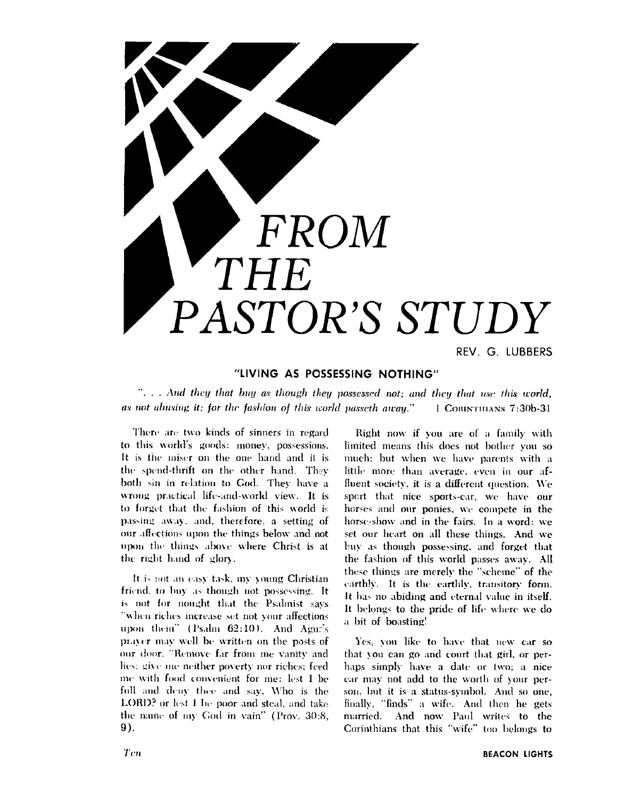

REV. G. LUBBERS

# "LIVING AS POSSESSING NOTHING"

"... And they that buy as though they possessed not; and they that use this world, as not abusing it; for the fashion of this world passeth away." I CORINTHIANS 7:30b-31

There are two kinds of sinners in regard to this world's goods: money, possessions, It is the miser on the one hand and it is the spend-thrift on the other hand. They both sin in relation to God. They have a wrong practical life-and-world view. It is to forget that the fashion of this world is passing away, and, therefore, a setting of our affections upon the things below and not upon the things above where Christ is at the right hand of glory.

It is not an easy task, my young Christian friend, to buy as though not possessing. It is not for nought that the Psalmist says "when riches increase set not your affections upon them" (Psalm 62:10). And Agur's prayer may well be written on the posts of our door. "Remove far from me vanity and lies; give me neither poverty nor riches; feed me with food convenient for me: lest I be full and deny thee and say, Who is the LORD? or lest 1 be poor and steal, and take the name of my God in vain" (Prov. 30:8,  $9$ ).

Right now if you are of a family with limited means this does not bother you so much; but when we have parents with a little more than average, even in our affluent society, it is a different question. We sport that nice sports-car, we have our horses and our ponies, we compete in the horse-show and in the fairs. In a word: we set our heart on all these things. And we buy as though possessing, and forget that the fashion of this world passes away. All these things are merely the "scheme" of the earthly. It is the earthly, transitory form. It has no abiding and eternal value in itself. It belongs to the pride of life where we do a bit of boasting!

Yes, you like to have that new car so that you can go and court that girl, or perhaps simply have a date or two; a nice car may not add to the worth of your person, but it is a status-symbol. And so one, finally, "finds" a wife. And then he gets married. And now Paul writes to the Corinthians that this "wife" too belongs to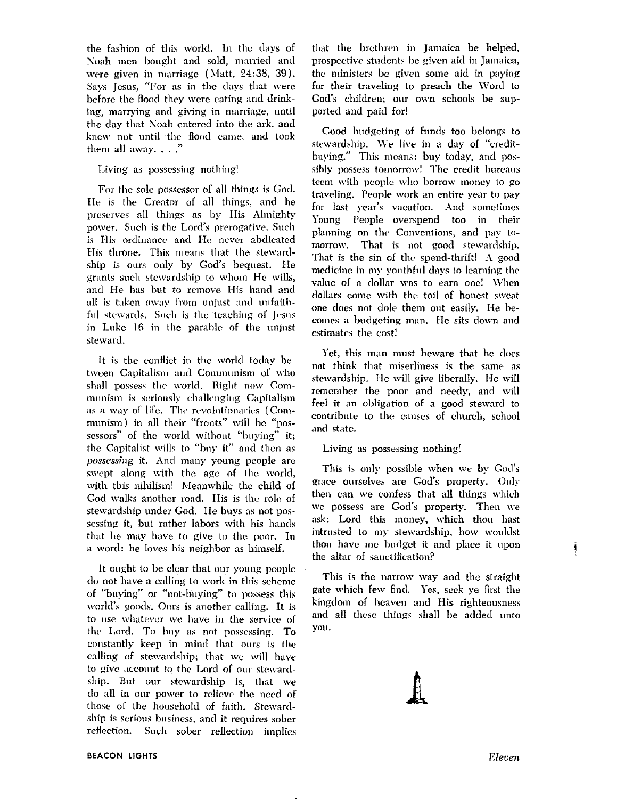the fashion of this world. In the days of Noah men bought and sold, married and were given in marriage (Matt. 24:38, 39). Says Jesus, "For as in the days that were before the flood they were eating and drinking, marrying and giving in marriage, until the day that Noah entered into the ark, and knew not until the flood came, and took them all away...."

# Living as possessing nothing!

For the sole possessor of all things is God. He is the Creator of all things, and he preserves all things as by His Almighty power. Such is the Lord's prerogative, Such is His ordinance and He never abdicated His throne. This means that the stewardship is ours only by God's bequest. He grants such stewardship to whom He wills, and He has but to remove His hand and all is taken away from unjust and unfaithful stewards. Such is the teaching of Jesus in Luke 16 in the parable of the unjust steward.

It is the conflict in the world today between Capitalism and Communism of who shall possess the world. Right now Communism is seriously challenging Capitalism as a way of life. The revolutionaries (Communism) in all their "fronts" will be "possessors" of the world without "buying" it; the Capitalist wills to "buy it" and then as *possessing* it. And many young people are swept along with the age of the world, with this nihilism! Meanwhile the child of God walks another road. His is the role of stewardship under God. He buys as not possessing it, but rather labors with his hands that he may have to give to the poor. In a word: he loves his neighbor as himself.

It ought to be clear that our young people do not have a calling to work in this scheme of "buying" or "not-buying" to possess this world's goods. Ours is another calling. It is to use whatever we have in the service of the Lord. To buy as not possessing. To constantly keep in mind that ours is the calling of stewardship; that we will have to give account to the Lord of our stewardship. But our stewardship is, that we do all in our power to relieve the need of those of the household of faith. Stewardship is serious business, and it requires sober reflection. Such sober reflection implies that the brethren in Jamaica be helped, prospective students be given aid in Jamaica, the ministers be given some aid in paying for their traveling to preach the Word to God's children; our own schools be supported and paid for!

Good budgeting of funds too belongs to stewardship. We live in a day of "creditbuying." This means: buy today, and possibly possess tomorrow! The credit bureaus teem with people who borrow money to go traveling. People work an entire year to pay for last vear's vacation. And sometimes Young People overspend too in their planning on the Conventions, and pay tomorrow. That is not good stewardship. That is the sin of the spend-thrift! A good medicine in my youthful days to learning the value of a dollar was to earn one! When dollars come with the toil of honest sweat one does not dole them out easily. He becomes a budgeting man. He sits down and estimates the cost!

Yet, this man must beware that he does not think that miserliness is the same as stewardship. He will give liberally. He will remember the poor and needy, and will feel it an obligation of a good steward to contribute to the causes of church, school and state.

## Living as possessing nothing!

This is only possible when we by God's grace ourselves are God's property. Only then can we confess that all things which we possess are God's property. Then we ask: Lord this money, which thou hast intrusted to my stewardship, how wouldst thou have me budget it and place it upon the altar of sanctification?

This is the narrow way and the straight gate which few find. Yes, seek ye first the kingdom of heaven and His righteousness and all these things shall be added unto you.

ļ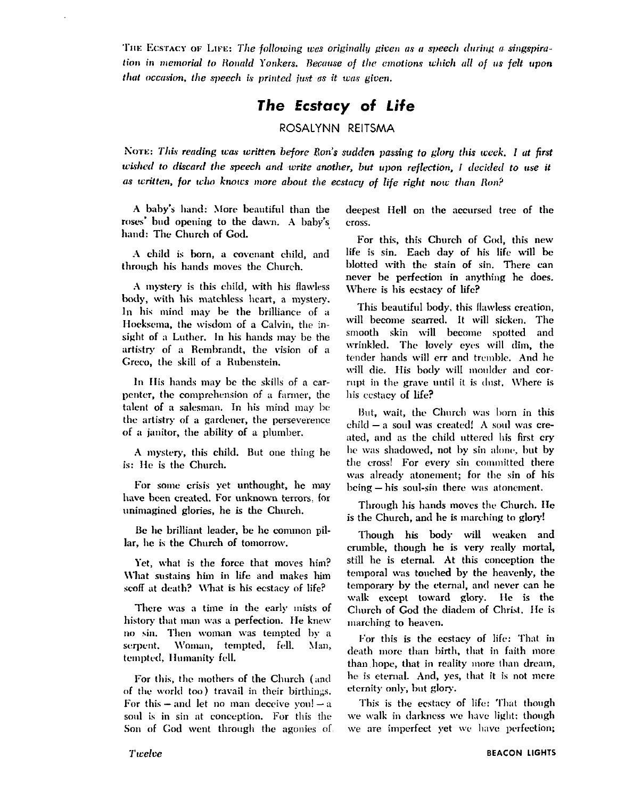THE ECSTACY OF LIFE: The following was originally given as a speech during a singspiration in memorial to Ronald Yonkers. Because of the emotions which all of us felt upon that occasion, the speech is printed just as it was given.

# The Ecstacy of Life

# ROSALYNN REITSMA

Nore: This reading was written before Ron's sudden passing to glory this week. I at first wished to discard the speech and write another, but upon reflection, I decided to use it as written, for who knows more about the ecstacy of life right now than Ron?

A baby's hand: More beautiful than the roses' bud opening to the dawn. A baby's hand: The Church of God.

A child is born, a covenant child, and through his hands moves the Church.

A mystery is this child, with his flawless body, with his matchless heart, a mystery, In his mind may be the brilliance of a Hoeksema, the wisdom of a Calvin, the insight of a Luther. In his hands may be the artistry of a Rembrandt, the vision of a Greco, the skill of a Rubenstein.

In His hands may be the skills of a carpenter, the comprehension of a farmer, the talent of a salesman. In his mind may be the artistry of a gardener, the perseverence of a janitor, the ability of a plumber.

A mystery, this child. But one thing he is: He is the Church.

For some crisis yet unthought, he may have been created. For unknown terrors, for unimagined glories, he is the Church.

Be he brilliant leader, be he common pillar, he is the Church of tomorrow.

Yet, what is the force that moves him? What sustains him in life and makes him scoff at death? What is his ecstacy of life?

There was a time in the early mists of history that man was a perfection. He knew no sin. Then woman was tempted by a serpent. Woman, tempted, fell. Man, tempted, Humanity fell.

For this, the mothers of the Church (and of the world too) travail in their birthings. For this  $-$  and let no man deceive voul  $-$  a soul is in sin at conception. For this the Son of God went through the agonies of

deepest Hell on the accursed tree of the cross.

For this, this Church of God, this new life is sin. Each day of his life will be blotted with the stain of sin. There can never be perfection in anything he does. Where is his ecstacy of life?

This beautiful body, this flawless creation, will become scarred, It will sicken. The smooth skin will become spotted and wrinkled. The lovely eyes will dim, the tender hands will err and tremble. And he will die. His body will moulder and corrupt in the grave until it is dust. Where is his eestacy of life?

But, wait, the Church was born in this child - a soul was created! A soul was created, and as the child uttered his first cry he was shadowed, not by sin alone, but by the cross! For every sin committed there was already atonement; for the sin of his being  $-$  his soul-sin there was atonement.

Through his hands moves the Church. He is the Church, and he is marching to glory!

Though his body will weaken and crumble, though he is very really mortal, still he is eternal. At this conception the temporal was touched by the heavenly, the temporary by the eternal, and never can he walk except toward glory. He is the Church of God the diadem of Christ. He is marching to heaven.

For this is the ecstacy of life: That in death more than birth, that in faith more than hope, that in reality more than dream, he is eternal. And, yes, that it is not mere eternity only, but glory.

This is the eestacy of life: That though we walk in darkness we have light; though we are imperfect yet we have perfection;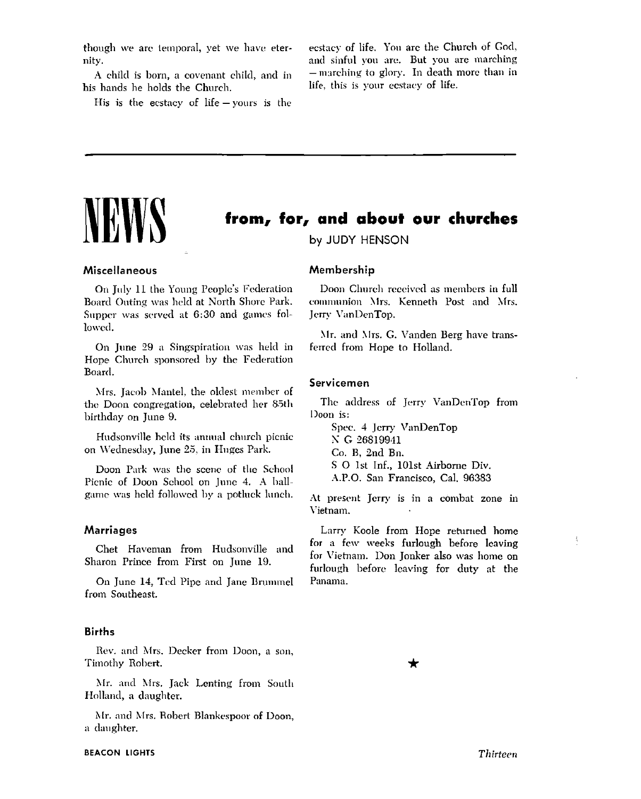though we are temporal, vet we have eternity.

A child is born, a covenant child, and in his hands he holds the Church.

His is the ecstacy of  $life - \text{vours}$  is the

ecstacy of life. You are the Church of God, and sinful you are. But you are marching - marching to glory. In death more than in life, this is your ecstacy of life.

# from, for, and about our churches

by JUDY HENSON

# Miscellaneous

On July 11 the Young People's Federation Board Outing was held at North Shore Park. Supper was served at 6:30 and games followed.

On June 29 a Singspiration was held in Hope Church sponsored by the Federation Board.

Mrs. Jacob Mantel, the oldest member of the Doon congregation, celebrated her 85th birthday on June 9.

Hudsonville held its annual church picnic on Wednesday, June 25, in Huges Park.

Doon Park was the scene of the School Picnic of Doon School on June 4. A ballgame was held followed by a potluck lunch.

# **Marriages**

Chet Haveman from Hudsonville and Sharon Prince from First on June 19.

On June 14, Ted Pipe and Jane Brummel from Southeast.

### **Births**

Rev. and Mrs. Decker from Doon, a son, Timothy Robert.

Mr. and Mrs. Jack Lenting from South Holland, a daughter.

Mr. and Mrs. Robert Blankespoor of Doon, a daughter.

# Membership

Doon Church received as members in full communion Mrs. Kenneth Post and Mrs. Jerry VanDenTop.

Mr. and Mrs. G. Vanden Berg have transferred from Hope to Holland.

# Servicemen

The address of Jerry VanDenTop from Doon is:

Spec. 4 Jerry VanDenTop N G 26819941 Co. B. 2nd Bn. S O 1st Inf., 101st Airborne Div. A.P.O. San Francisco, Cal. 96383

At present Jerry is in a combat zone in Vietnam.

Larry Koole from Hope returned home for a few weeks furlough before leaving for Vietnam. Don Jonker also was home on furlough before leaving for duty at the Panama.

Thirteen